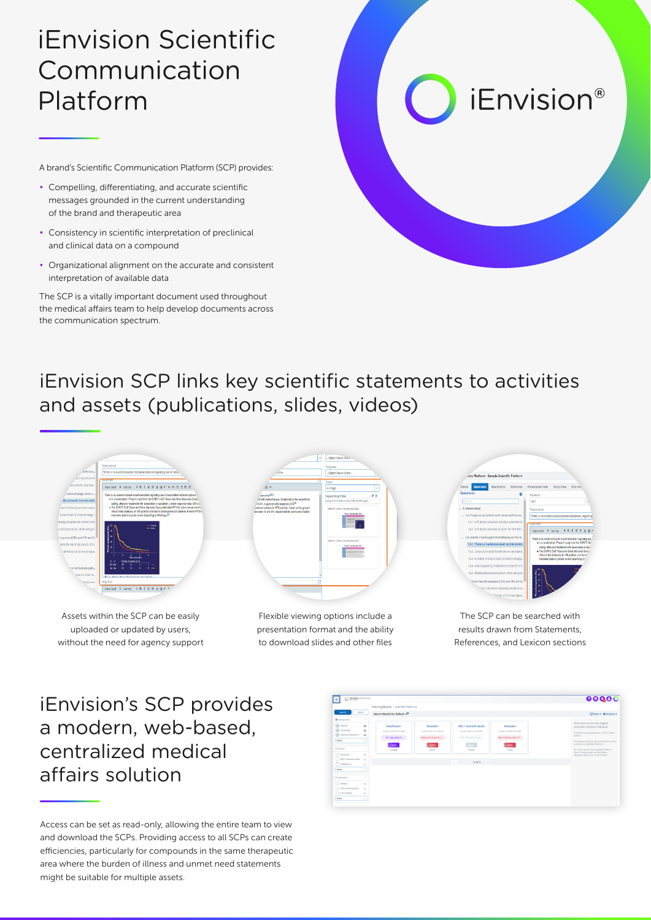## iEnvision Scientific Communication Platform

A brand's Scientific Communication Platform (SCP) provides:

- Compelling, differentiating, and accurate scientific messages grounded in the current understanding of the brand and therapeutic area
- Consistency in scientific interpretation of preclinical and clinical data on a compound
- Organizational alignment on the accurate and consistent interpretation of available data

The SCP is a vitally important document used throughout the medical affairs team to help develop documents across the communication spectrum.

# *iEnvision®*

#### iEnvision SCP links key scientific statements to activities and assets (publications, slides, videos)



Assets within the SCP can be easily uploaded or updated by users, without the need for agency support



Flexible viewing options include a presentation format and the ability to download slides and other files



The SCP can be searched with results drawn from Statements, References, and Lexicon sections

#### iEnvision's SCP provides a modern, web-based, centralized medical affairs solution

Access can be set as read-only, allowing the entire team to view and download the SCPs. Providing access to all SCPs can create efficiencies, particularly for compounds in the same therapeutic area where the burden of illness and unmet need statements might be suitable for multiple assets.